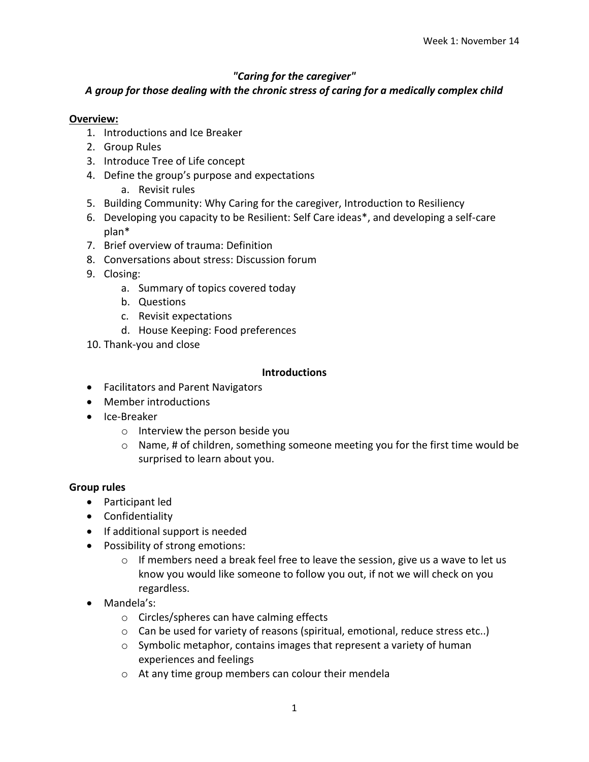# *"Caring for the caregiver"*

# *A group for those dealing with the chronic stress of caring for a medically complex child*

# **Overview:**

- 1. Introductions and Ice Breaker
- 2. Group Rules
- 3. Introduce Tree of Life concept
- 4. Define the group's purpose and expectations
	- a. Revisit rules
- 5. Building Community: Why Caring for the caregiver, Introduction to Resiliency
- 6. Developing you capacity to be Resilient: Self Care ideas\*, and developing a self-care plan\*
- 7. Brief overview of trauma: Definition
- 8. Conversations about stress: Discussion forum
- 9. Closing:
	- a. Summary of topics covered today
	- b. Questions
	- c. Revisit expectations
	- d. House Keeping: Food preferences
- 10. Thank-you and close

# **Introductions**

- Facilitators and Parent Navigators
- Member introductions
- Ice-Breaker
	- o Interview the person beside you
	- $\circ$  Name, # of children, something someone meeting you for the first time would be surprised to learn about you.

# **Group rules**

- Participant led
- Confidentiality
- If additional support is needed
- Possibility of strong emotions:
	- $\circ$  If members need a break feel free to leave the session, give us a wave to let us know you would like someone to follow you out, if not we will check on you regardless.
- Mandela's:
	- o Circles/spheres can have calming effects
	- $\circ$  Can be used for variety of reasons (spiritual, emotional, reduce stress etc..)
	- o Symbolic metaphor, contains images that represent a variety of human experiences and feelings
	- o At any time group members can colour their mendela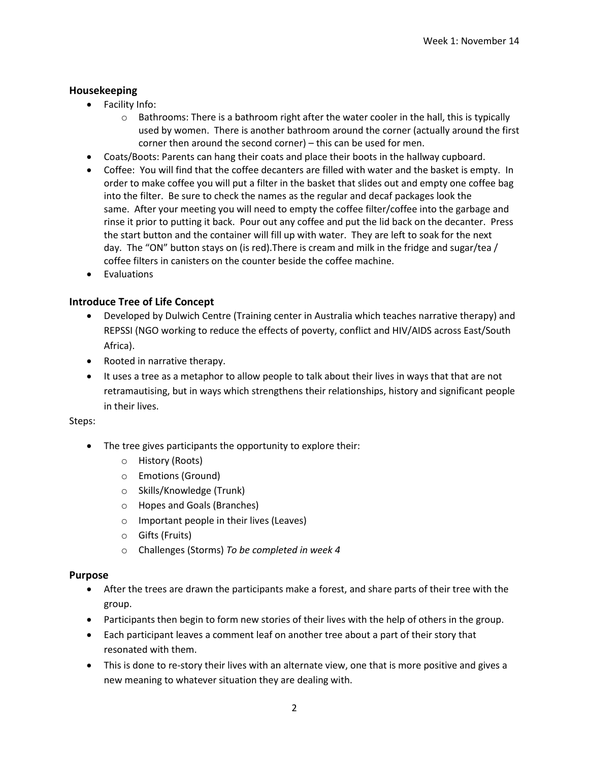### **Housekeeping**

- Facility Info:
	- $\circ$  Bathrooms: There is a bathroom right after the water cooler in the hall, this is typically used by women. There is another bathroom around the corner (actually around the first corner then around the second corner) – this can be used for men.
- Coats/Boots: Parents can hang their coats and place their boots in the hallway cupboard.
- Coffee: You will find that the coffee decanters are filled with water and the basket is empty. In order to make coffee you will put a filter in the basket that slides out and empty one coffee bag into the filter. Be sure to check the names as the regular and decaf packages look the same. After your meeting you will need to empty the coffee filter/coffee into the garbage and rinse it prior to putting it back. Pour out any coffee and put the lid back on the decanter. Press the start button and the container will fill up with water. They are left to soak for the next day. The "ON" button stays on (is red).There is cream and milk in the fridge and sugar/tea / coffee filters in canisters on the counter beside the coffee machine.
- Evaluations

### **Introduce Tree of Life Concept**

- Developed by Dulwich Centre (Training center in Australia which teaches narrative therapy) and REPSSI (NGO working to reduce the effects of poverty, conflict and HIV/AIDS across East/South Africa).
- Rooted in narrative therapy.
- It uses a tree as a metaphor to allow people to talk about their lives in ways that that are not retramautising, but in ways which strengthens their relationships, history and significant people in their lives.

#### Steps:

- The tree gives participants the opportunity to explore their:
	- o History (Roots)
	- o Emotions (Ground)
	- o Skills/Knowledge (Trunk)
	- o Hopes and Goals (Branches)
	- o Important people in their lives (Leaves)
	- o Gifts (Fruits)
	- o Challenges (Storms) *To be completed in week 4*

#### **Purpose**

- After the trees are drawn the participants make a forest, and share parts of their tree with the group.
- Participants then begin to form new stories of their lives with the help of others in the group.
- Each participant leaves a comment leaf on another tree about a part of their story that resonated with them.
- This is done to re-story their lives with an alternate view, one that is more positive and gives a new meaning to whatever situation they are dealing with.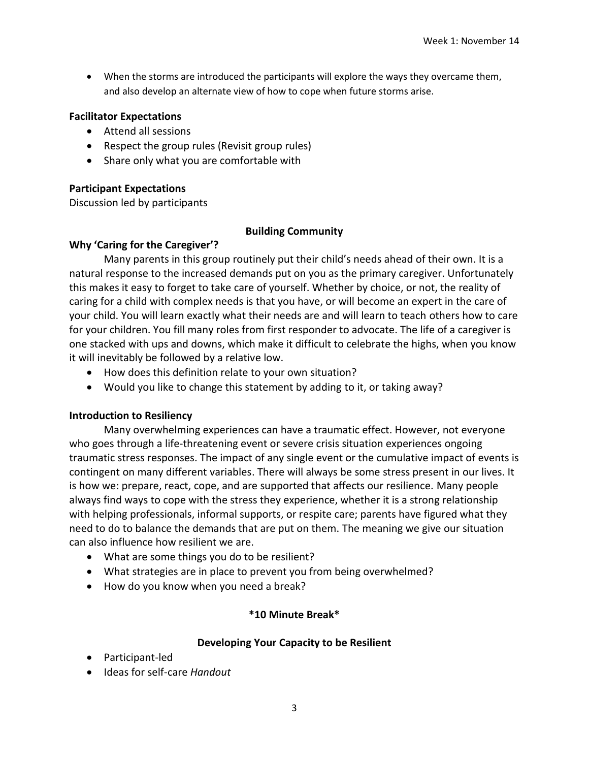When the storms are introduced the participants will explore the ways they overcame them, and also develop an alternate view of how to cope when future storms arise.

### **Facilitator Expectations**

- Attend all sessions
- Respect the group rules (Revisit group rules)
- Share only what you are comfortable with

### **Participant Expectations**

Discussion led by participants

### **Building Community**

### **Why 'Caring for the Caregiver'?**

Many parents in this group routinely put their child's needs ahead of their own. It is a natural response to the increased demands put on you as the primary caregiver. Unfortunately this makes it easy to forget to take care of yourself. Whether by choice, or not, the reality of caring for a child with complex needs is that you have, or will become an expert in the care of your child. You will learn exactly what their needs are and will learn to teach others how to care for your children. You fill many roles from first responder to advocate. The life of a caregiver is one stacked with ups and downs, which make it difficult to celebrate the highs, when you know it will inevitably be followed by a relative low.

- How does this definition relate to your own situation?
- Would you like to change this statement by adding to it, or taking away?

# **Introduction to Resiliency**

Many overwhelming experiences can have a traumatic effect. However, not everyone who goes through a life-threatening event or severe crisis situation experiences ongoing traumatic stress responses. The impact of any single event or the cumulative impact of events is contingent on many different variables. There will always be some stress present in our lives. It is how we: prepare, react, cope, and are supported that affects our resilience. Many people always find ways to cope with the stress they experience, whether it is a strong relationship with helping professionals, informal supports, or respite care; parents have figured what they need to do to balance the demands that are put on them. The meaning we give our situation can also influence how resilient we are.

- What are some things you do to be resilient?
- What strategies are in place to prevent you from being overwhelmed?
- How do you know when you need a break?

# **\*10 Minute Break\***

# **Developing Your Capacity to be Resilient**

- Participant-led
- Ideas for self-care *Handout*